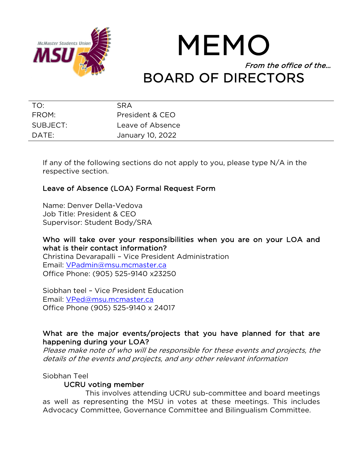

# MEMO From the office of the… BOARD OF DIRECTORS

| TO:      | <b>SRA</b>       |
|----------|------------------|
| FROM:    | President & CEO  |
| SUBJECT: | Leave of Absence |
| DATE:    | January 10, 2022 |

If any of the following sections do not apply to you, please type N/A in the respective section.

# Leave of Absence (LOA) Formal Request Form

Name: Denver Della-Vedova Job Title: President & CEO Supervisor: Student Body/SRA

Who will take over your responsibilities when you are on your LOA and what is their contact information? Christina Devarapalli – Vice President Administration Email: VPadmin@msu.mcmaster.ca Office Phone: (905) 525-9140 x23250

Siobhan teel – Vice President Education Email: VPed@msu.mcmaster.ca Office Phone (905) 525-9140 x 24017

# What are the major events/projects that you have planned for that are happening during your LOA?

Please make note of who will be responsible for these events and projects, the details of the events and projects, and any other relevant information

#### Siobhan Teel

# UCRU voting member

This involves attending UCRU sub-committee and board meetings as well as representing the MSU in votes at these meetings. This includes Advocacy Committee, Governance Committee and Bilingualism Committee.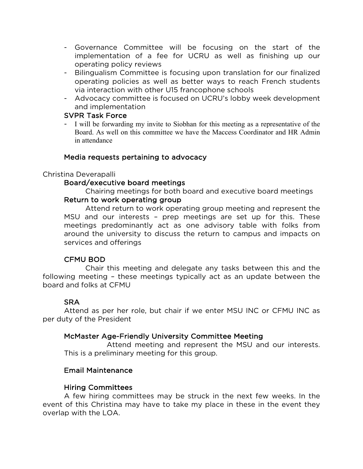- Governance Committee will be focusing on the start of the implementation of a fee for UCRU as well as finishing up our operating policy reviews
- Bilingualism Committee is focusing upon translation for our finalized operating policies as well as better ways to reach French students via interaction with other U15 francophone schools
- Advocacy committee is focused on UCRU's lobby week development and implementation

## SVPR Task Force

I will be forwarding my invite to Siobhan for this meeting as a representative of the Board. As well on this committee we have the Maccess Coordinator and HR Admin in attendance

## Media requests pertaining to advocacy

## Christina Deverapalli

## Board/executive board meetings

Chairing meetings for both board and executive board meetings

#### Return to work operating group

Attend return to work operating group meeting and represent the MSU and our interests – prep meetings are set up for this. These meetings predominantly act as one advisory table with folks from around the university to discuss the return to campus and impacts on services and offerings

#### CFMU BOD

Chair this meeting and delegate any tasks between this and the following meeting – these meetings typically act as an update between the board and folks at CFMU

# SRA

Attend as per her role, but chair if we enter MSU INC or CFMU INC as per duty of the President

# McMaster Age-Friendly University Committee Meeting

 Attend meeting and represent the MSU and our interests. This is a preliminary meeting for this group.

# Email Maintenance

# Hiring Committees

 A few hiring committees may be struck in the next few weeks. In the event of this Christina may have to take my place in these in the event they overlap with the LOA.